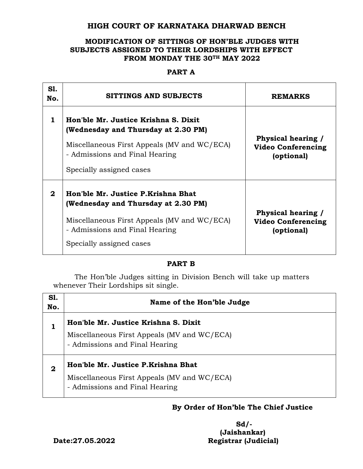# **HIGH COURT OF KARNATAKA DHARWAD BENCH**

### **MODIFICATION OF SITTINGS OF HON'BLE JUDGES WITH SUBJECTS ASSIGNED TO THEIR LORDSHIPS WITH EFFECT FROM MONDAY THE 30TH MAY 2022**

### **PART A**

| <b>S1.</b><br>No. | SITTINGS AND SUBJECTS                                                                                                                                                                    | <b>REMARKS</b>                                                |
|-------------------|------------------------------------------------------------------------------------------------------------------------------------------------------------------------------------------|---------------------------------------------------------------|
| 1                 | Hon'ble Mr. Justice Krishna S. Dixit<br>(Wednesday and Thursday at 2.30 PM)<br>Miscellaneous First Appeals (MV and WC/ECA)<br>- Admissions and Final Hearing<br>Specially assigned cases | Physical hearing /<br><b>Video Conferencing</b><br>(optional) |
| $\mathbf{2}$      | Hon'ble Mr. Justice P.Krishna Bhat<br>(Wednesday and Thursday at 2.30 PM)<br>Miscellaneous First Appeals (MV and WC/ECA)<br>- Admissions and Final Hearing<br>Specially assigned cases   | Physical hearing /<br><b>Video Conferencing</b><br>(optional) |

### **PART B**

The Hon'ble Judges sitting in Division Bench will take up matters whenever Their Lordships sit single.

| <b>S1.</b><br>No. | Name of the Hon'ble Judge                                                                                             |  |
|-------------------|-----------------------------------------------------------------------------------------------------------------------|--|
|                   | Hon'ble Mr. Justice Krishna S. Dixit<br>Miscellaneous First Appeals (MV and WC/ECA)<br>- Admissions and Final Hearing |  |
| $\mathbf 2$       | Hon'ble Mr. Justice P.Krishna Bhat<br>Miscellaneous First Appeals (MV and WC/ECA)<br>- Admissions and Final Hearing   |  |

# **By Order of Hon'ble The Chief Justice**

 **Sd/- (Jaishankar) Date:27.05.2022 Registrar (Judicial)**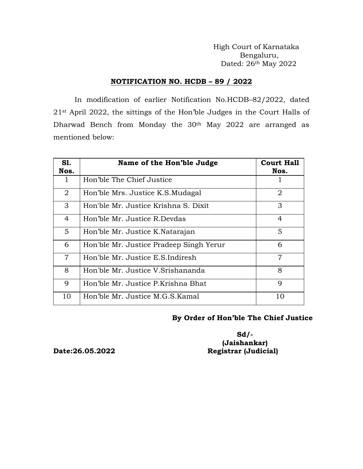High Court of Karnataka Bengaluru, Dated: 26th May 2022

#### **NOTIFICATION NO. HCDB – 89 / 2022**

In modification of earlier Notification No.HCDB–82/2022, dated 21st April 2022, the sittings of the Hon'ble Judges in the Court Halls of Dharwad Bench from Monday the 30th May 2022 are arranged as mentioned below:

| S1.<br>Nos.    | Name of the Hon'ble Judge               | <b>Court Hall</b><br>Nos. |
|----------------|-----------------------------------------|---------------------------|
| 1              | Hon'ble The Chief Justice               |                           |
| $\overline{2}$ | Hon'ble Mrs. Justice K.S. Mudagal       | 2                         |
| 3              | Hon'ble Mr. Justice Krishna S. Dixit    | 3                         |
| 4              | Hon'ble Mr. Justice R.Devdas            | 4                         |
| 5              | Hon'ble Mr. Justice K.Natarajan         | 5                         |
| 6              | Hon'ble Mr. Justice Pradeep Singh Yerur | 6                         |
| $\overline{7}$ | Hon'ble Mr. Justice E.S.Indiresh        | 7                         |
| 8              | Hon'ble Mr. Justice V. Srishananda      | 8                         |
| 9              | Hon'ble Mr. Justice P.Krishna Bhat      | $\mathbf Q$               |
| 10             | Hon'ble Mr. Justice M.G.S.Kamal         | 10                        |

### **By Order of Hon'ble The Chief Justice**

**Sd/- (Jaishankar) Date:26.05.2022 Registrar (Judicial)**